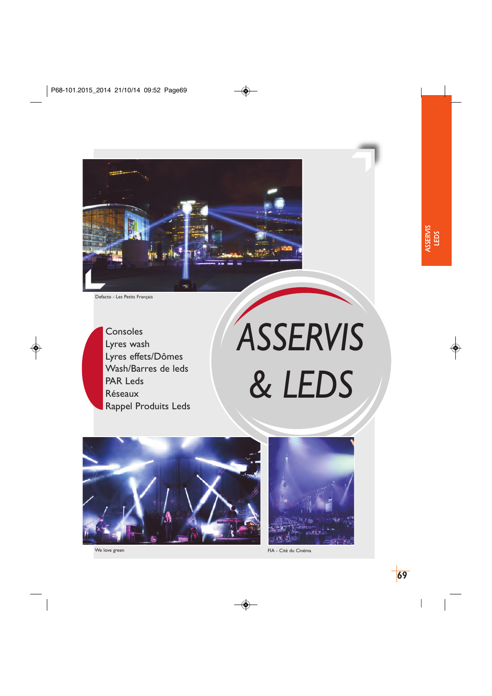

```
Defacto - Les Petits Français
```
Consoles Lyres wash Lyres effets/Dômes Wash/Barres de leds PAR Leds Réseaux Rappel Produits Leds

# *ASSERVIS & LEDS*



We love green



FIA - Cité du Cinéma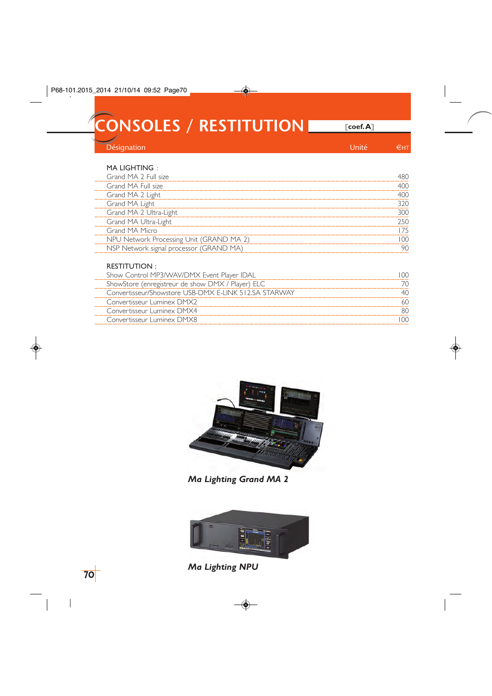**CONSOLES / RESTITUTION** *ECONSOLES / RESTITUTION* 

Désignation et al. 2009 et al. 2009 et al. 2009 et al. 2009 et al. 2009 et al. 2009 et al. 2009 et al. 2009 et a

## MA LIGHTING :

#### RESTITUTION :

| Show Control MP3/WAV/DMX Event Player IDAL            |  |
|-------------------------------------------------------|--|
| ShowStore (enregistreur de show DMX / Player) ELC     |  |
| Convertisseur/Showstore USB-DMX F-LINK 512.SA STARWAY |  |
| Convertisseur Luminex DMX2                            |  |
| Convertisseur Luminex DMX4                            |  |
| Convertisseur Luminex DMX8                            |  |
|                                                       |  |



# *Ma Lighting Grand MA 2*



*Ma Lighting NPU*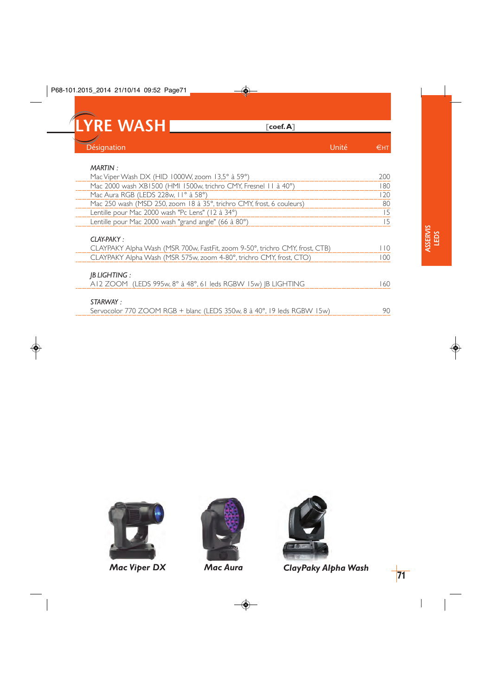

| <b>MARTIN:</b>                                                                             |     |
|--------------------------------------------------------------------------------------------|-----|
| Mac Viper Wash DX (HID 1000W, zoom 13,5° à 59°)                                            | 200 |
| Mac 2000 wash XB1500 (HMI 1500w, trichro CMY, Fresnel 11 à 40°)                            | 180 |
| Mac Aura RGB (LEDS 228w, II° à 58°)                                                        | 120 |
| Mac 250 wash (MSD 250, zoom 18 à 35°, trichro CMY, frost, 6 couleurs)                      | 80  |
| Lentille pour Mac 2000 wash "Pc Lens" (12 à 34°)                                           | 15  |
| Lentille pour Mac 2000 wash "grand angle" (66 à 80°)                                       | 15  |
| CLAY-PAKY:<br>CLAYPAKY Alpha Wash (MSR 700w, FastFit, zoom 9-50°, trichro CMY, frost, CTB) | 110 |
| CLAYPAKY Alpha Wash (MSR 575w, zoom 4-80°, trichro CMY, frost, CTO)                        | 100 |
| <b>IBLIGHTING:</b><br>A12 ZOOM (LEDS 995w, 8° à 48°, 61 leds RGBW 15w) IB LIGHTING         | 160 |
| STARWAY:<br>Servocolor 770 ZOOM RGB + blanc (LEDS 350w, 8 à 40°, 19 leds RGBW 15w)         | 90  |

Servocolor 770 ZOOM RGB + blanc (LEDS 350w, 8 à 40°, 19 leds RGBW 15w)



*Mac Viper DX Mac Aura*





*ClayPaky Alpha Wash* **<sup>71</sup>**

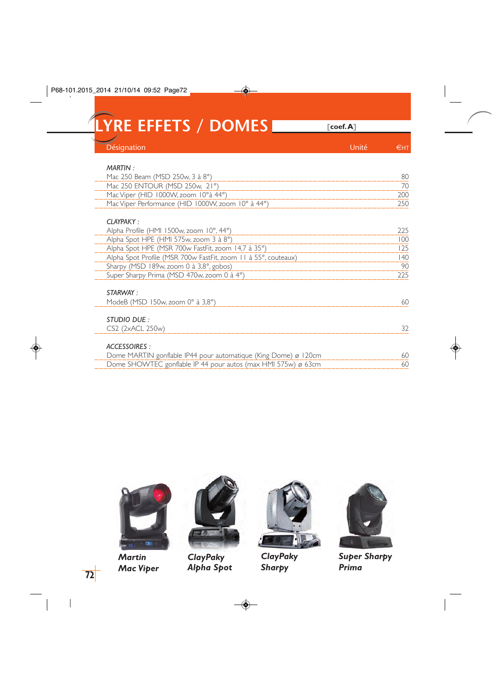**LYRE EFFETS / DOMES [coef. A]**

| Désignation                                                     | Unité | €нт |
|-----------------------------------------------------------------|-------|-----|
| MARTIN:                                                         |       |     |
| Mac 250 Beam (MSD 250w, 3 à 8°)                                 |       | 80  |
| Mac 250 ENTOUR (MSD 250w, 21°)                                  |       | 70  |
| Mac Viper (HID 1000W, zoom 10°à 44°)                            |       | 200 |
| Mac Viper Performance (HID 1000W, zoom 10° à 44°)               |       | 250 |
| $CI$ AYPAKY :                                                   |       |     |
| Alpha Profile (HMI 1500w, zoom 10°, 44°)                        |       | 225 |
| Alpha Spot HPE (HMI 575w, zoom 3 à 8°)                          |       | 100 |
| Alpha Spot HPE (MSR 700w FastFit, zoom 14,7 à 35°)              |       | 125 |
| Alpha Spot Profile (MSR 700w FastFit, zoom 11 à 55°, couteaux)  |       | 40  |
| Sharpy (MSD 189w, zoom 0 à 3,8°, gobos)                         |       | 90  |
| Super Sharpy Prima (MSD 470w, zoom 0 à 4°)                      |       | 225 |
| STARWAY :                                                       |       |     |
| ModeB (MSD 150w, zoom $0^\circ$ à 3,8 $^\circ$ )                |       | 60  |
| STUDIO DUE:                                                     |       |     |
| CS2 (2xACL 250w)                                                |       | 32  |
| ACCESSOIRES :                                                   |       |     |
| Dome MARTIN gonflable IP44 pour automatique (King Dome) ø 120cm |       | 60  |
| Dome SHOWTEC gonflable IP 44 pour autos (max HMI 575w) ø 63cm   |       | 60  |
|                                                                 |       |     |



*Martin Mac Viper*



*ClayPaky Alpha Spot*



*ClayPaky Sharpy*



*Super Sharpy Prima*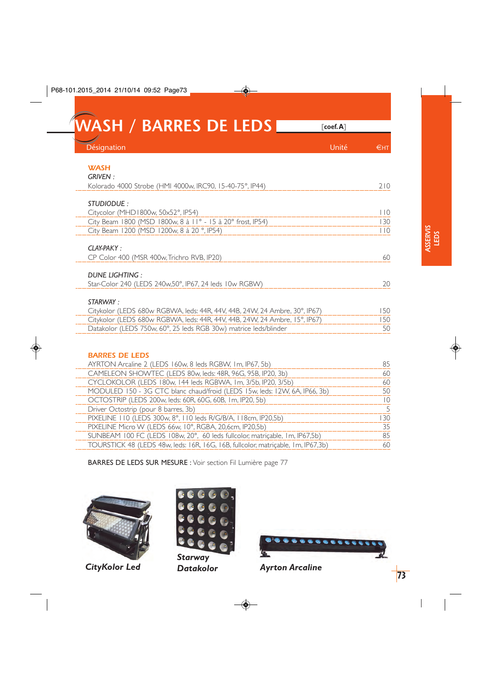| <b>IWASH / BARRES DE LEDS I</b>                                            | $\lceil$ coef.A $\rceil$ |     |
|----------------------------------------------------------------------------|--------------------------|-----|
| Désignation                                                                | Unité                    | €нт |
| <b>WASH</b>                                                                |                          |     |
| <b>GRIVEN:</b>                                                             |                          |     |
| Kolorado 4000 Strobe (HMI 4000w, IRC90, 15-40-75°, IP44)                   |                          | 210 |
| STUDIODUE:                                                                 |                          |     |
| Citycolor (MHD1800w, 50x52°, IP54)                                         |                          | 110 |
| City Beam 1800 (MSD 1800w, 8 à 11° - 15 à 20° frost, IP54)                 |                          | 130 |
| City Beam 1200 (MSD 1200w, 8 à 20 °, IP54)                                 |                          | 110 |
| $CI$ AY-PAKY $\cdot$                                                       |                          |     |
| CP Color 400 (MSR 400w, Trichro RVB, IP20)                                 |                          | 60  |
| DUNE LIGHTING:                                                             |                          |     |
| Star-Color 240 (LEDS 240w,50°, IP67, 24 leds 10w RGBW)                     |                          | 20  |
| STARWAY :                                                                  |                          |     |
| Citykolor (LEDS 680w RGBWA, leds: 44R, 44V, 44B, 24W, 24 Ambre, 30°, IP67) |                          | 150 |

| <b>BARRES DE LEDS</b>                                                            |    |
|----------------------------------------------------------------------------------|----|
| AYRTON Arcaline 2 (LEDS 160w, 8 leds RGBW, 1m, IP67, 5b)                         | 85 |
| CAMELEON SHOWTEC (LEDS 80w, leds: 48R, 96G, 95B, IP20, 3b)                       | 60 |
| CYCLOKOLOR (LEDS 180w, 144 leds RGBWA, 1m, 3/5b, IP20, 3/5b)                     | 60 |
| MODULED 150 - 3G CTC blanc chaud/froid (LEDS 15w, leds: 12W, 6A, IP66, 3b)       | 50 |
| OCTOSTRIP (LEDS 200w, leds: 60R, 60G, 60B, 1m, IP20, 5b)                         | 10 |
| Driver Octostrip (pour 8 barres, 3b)                                             | 5  |
| PIXELINE 110 (LEDS 300w, 8°, 110 leds R/G/B/A, 118cm, IP20,5b)                   | 30 |
| PIXELINE Micro W (LEDS 66w, 10°, RGBA, 20,6cm, IP20,5b)                          | 35 |
| SUNBEAM 100 FC (LEDS 108w, 20°, 60 leds fullcolor, matricable, 1m, IP67,5b)      | 85 |
| TOURSTICK 48 (LEDS 48w, leds: 16R, 16G, 16B, fullcolor, matricable, 1m, IP67,3b) | 60 |

BARRES DE LEDS SUR MESURE : Voir section Fil Lumière page 77



*CityKolor Led*



Citykolor (LEDS 680w RGBWA, leds: 44R, 44V, 44B, 24W, 24 Ambre, 15°, IP67)

Datakolor (LEDS 750w, 60°, 25 leds RGB 30w) matrice leds/blinder

*Starway*



150 50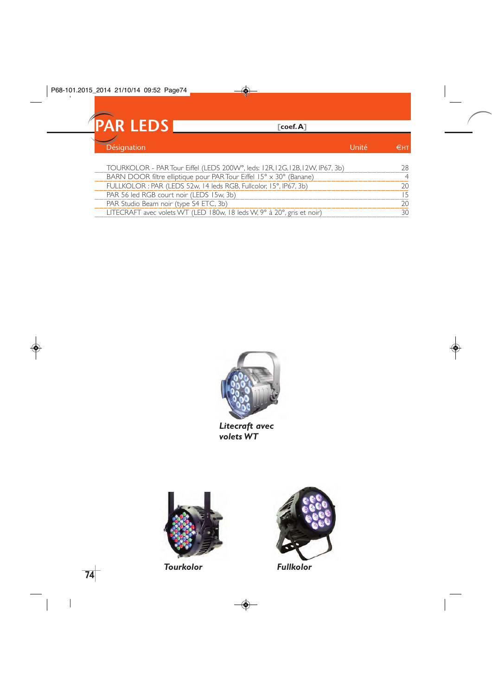

| TOURKOLOR - PAR Tour Eiffel (LEDS 200W°, leds: 12R, 12G, 12B, 12W, IP67, 3b) |  |
|------------------------------------------------------------------------------|--|
| BARN DOOR filtre elliptique pour PAR Tour Eiffel 15° x 30° (Banane)          |  |
| FULLKOLOR: PAR (LEDS 52w, 14 leds RGB, Fullcolor, 15°, IP67, 3b)             |  |
| PAR 56 led RGB court noir (LEDS 15w, 3b)                                     |  |
| PAR Studio Beam noir (type S4 ETC, 3b)                                       |  |
| LITECRAFT avec volets WT (LED 180w, 18 leds W, 9° à 20°, gris et noir)       |  |



*Litecraft avec volets WT*



*Tourkolor Fullkolor*

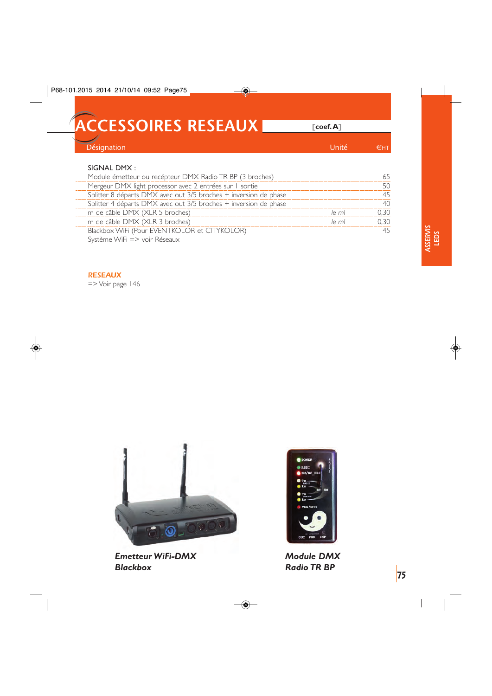**ACCESSOIRES RESEAUX [coef. A]**

| Z,<br>Désignation |  |
|-------------------|--|
|                   |  |

## SIGNAL DMX :

| Module émetteur ou recépteur DMX Radio TR BP (3 broches)         |          |       |
|------------------------------------------------------------------|----------|-------|
| Mergeur DMX light processor avec 2 entrées sur 1 sortie          |          |       |
| Splitter 8 départs DMX avec out 3/5 broches + inversion de phase |          |       |
| Splitter 4 départs DMX avec out 3/5 broches + inversion de phase |          |       |
| m de câble DMX (XLR 5 broches)                                   | $ e $ ml | J 30. |
| m de câble DMX (XLR 3 broches)                                   | $ e $ ml | ገ 30  |
| Blackbox WiFi (Pour EVENTKOLOR et CITYKOLOR)                     |          |       |
| Système WiFi => voir Réseaux                                     |          |       |

#### *RESEAUX*

=> Voir page 146



*Emetteur WiFi-DMX Blackbox*



*Module DMX Radio TR BP*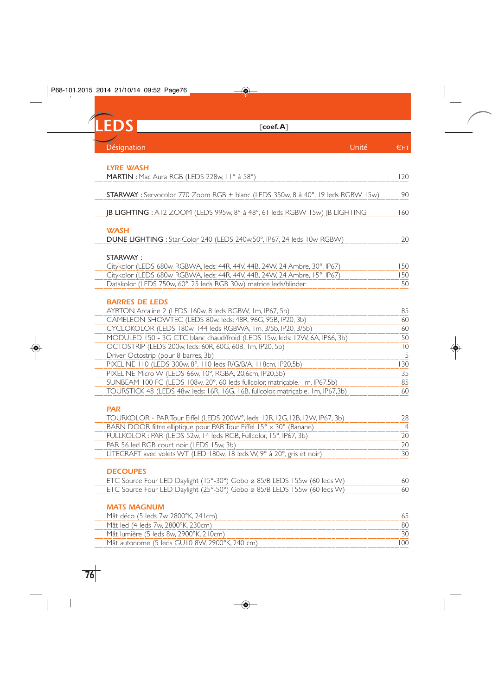**LEDS [coef. A]** Désignation en la contracte de la contracte de la contracte de la contracte de la contracte de la contracte de

| LYRE WASH                                                                        |                 |
|----------------------------------------------------------------------------------|-----------------|
| <b>MARTIN</b> : Mac Aura RGB (LEDS 228w, II° à 58°)                              | 120             |
|                                                                                  |                 |
| STARWAY : Servocolor 770 Zoom RGB + blanc (LEDS 350w, 8 à 40°, 19 leds RGBW 15w) | 90              |
|                                                                                  |                 |
| JB LIGHTING : A12 ZOOM (LEDS 995w, 8° à 48°, 61 leds RGBW 15w) JB LIGHTING       | 160             |
|                                                                                  |                 |
| <b>WASH</b>                                                                      |                 |
| DUNE LIGHTING : Star-Color 240 (LEDS 240w,50°, IP67, 24 leds 10w RGBW)           | 20              |
|                                                                                  |                 |
|                                                                                  |                 |
| STARWAY:                                                                         |                 |
| Citykolor (LEDS 680w RGBWA, leds: 44R, 44V, 44B, 24W, 24 Ambre, 30°, IP67)       | 150             |
| Citykolor (LEDS 680w RGBWA, leds: 44R, 44V, 44B, 24W, 24 Ambre, 15°, IP67)       | 150             |
| Datakolor (LEDS 750w, 60°, 25 leds RGB 30w) matrice leds/blinder                 | 50              |
|                                                                                  |                 |
| <b>BARRES DE LEDS</b>                                                            |                 |
| AYRTON Arcaline 2 (LEDS 160w, 8 leds RGBW, 1m, IP67, 5b)                         | 85              |
| CAMELEON SHOWTEC (LEDS 80w, leds: 48R, 96G, 95B, IP20, 3b)                       | 60              |
| CYCLOKOLOR (LEDS 180w, 144 leds RGBWA, 1m, 3/5b, IP20, 3/5b)                     | 60              |
|                                                                                  |                 |
| MODULED 150 - 3G CTC blanc chaud/froid (LEDS 15w, leds: 12W, 6A, IP66, 3b)       | 50              |
| OCTOSTRIP (LEDS 200w, leds: 60R, 60G, 60B, 1m, IP20, 5b)                         | $\overline{10}$ |
| Driver Octostrip (pour 8 barres, 3b)                                             | 5               |
| PIXELINE 110 (LEDS 300w, 8°, 110 leds R/G/B/A, 118cm, IP20,5b)                   | 130             |

| PIXELINE Micro W (LEDS 66w, 10°, RGBA, 20,6cm, IP20,5b)                          |    |
|----------------------------------------------------------------------------------|----|
| SUNBEAM 100 FC (LEDS 108w, 20°, 60 leds fullcolor, matricable, 1m, IP67,5b)      |    |
| TOURSTICK 48 (LEDS 48w, leds: 16R, 16G, 16B, fullcolor, matricable, 1m, IP67,3b) | 60 |

*PAR*

| TOURKOLOR - PAR Tour Eiffel (LEDS 200W°, leds: 12R, 12G, 12B, 12W, IP67, 3b) |  |
|------------------------------------------------------------------------------|--|
| BARN DOOR filtre elliptique pour PAR Tour Eiffel 15° x 30° (Banane)          |  |
| FULLKOLOR : PAR (LEDS 52w. 14 leds RGB, Fullcolor, 15°, IP67, 3b)            |  |
| PAR 56 led RGB court noir (LEDS 15w, 3b)                                     |  |
| LITECRAFT avec volets WT (LED 180w, 18 leds W, 9° à 20°, gris et noir)       |  |

## *DECOUPES*

| ETC Source Four LED Daylight (15°-30°) Gobo ø 85/B LEDS 155w (60 leds W) |  | 60 |
|--------------------------------------------------------------------------|--|----|
| ETC Source Four LED Daylight (25°-50°) Gobo ø 85/B LEDS 155w (60 leds W) |  | 60 |

### *MATS MAGNUM*

| Mật déco (5 leds 7w 2800°K, 241 cm)           |  |
|-----------------------------------------------|--|
| Mật led (4 leds 7w, 2800°K, 230cm)            |  |
| Mật lumière (5 leds 8w, 2900°K, 210cm)        |  |
| Mât autonome (5 leds GU10 8W, 2900°K, 240 cm) |  |